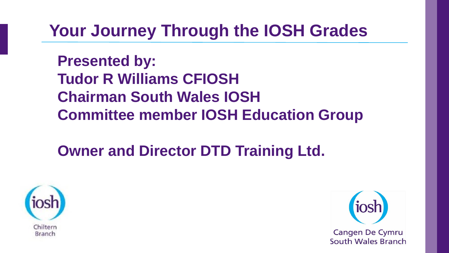# **Your Journey Through the IOSH Grades**

**Presented by: Tudor R Williams CFIOSH Chairman South Wales IOSH Committee member IOSH Education Group**

## **Owner and Director DTD Training Ltd.**



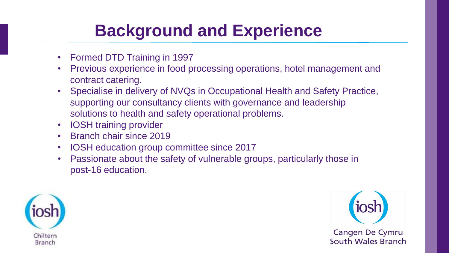# **Background and Experience**

- Formed DTD Training in 1997
- Previous experience in food processing operations, hotel management and contract catering.
- Specialise in delivery of NVQs in Occupational Health and Safety Practice, supporting our consultancy clients with governance and leadership solutions to health and safety operational problems.
- IOSH training provider
- Branch chair since 2019
- IOSH education group committee since 2017
- Passionate about the safety of vulnerable groups, particularly those in post-16 education.



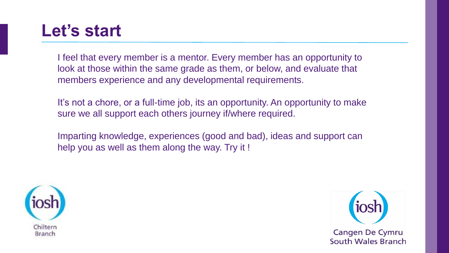## **Let's start**

I feel that every member is a mentor. Every member has an opportunity to look at those within the same grade as them, or below, and evaluate that members experience and any developmental requirements.

It's not a chore, or a full-time job, its an opportunity. An opportunity to make sure we all support each others journey if/where required.

Imparting knowledge, experiences (good and bad), ideas and support can help you as well as them along the way. Try it !



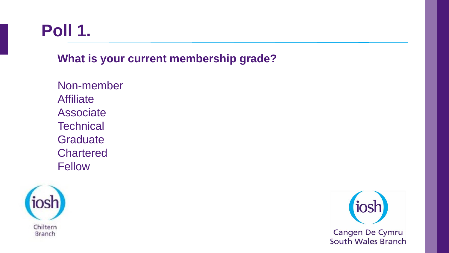# **Poll 1.**

**What is your current membership grade?**

Non-member **Affiliate** Associate **Technical Graduate Chartered** Fellow



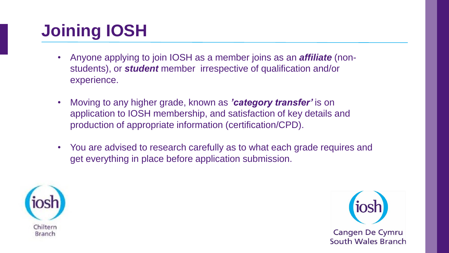# **Joining IOSH**

- Anyone applying to join IOSH as a member joins as an *affiliate* (nonstudents), or *student* member irrespective of qualification and/or experience.
- Moving to any higher grade, known as *'category transfer'* is on application to IOSH membership, and satisfaction of key details and production of appropriate information (certification/CPD).
- You are advised to research carefully as to what each grade requires and get everything in place before application submission.



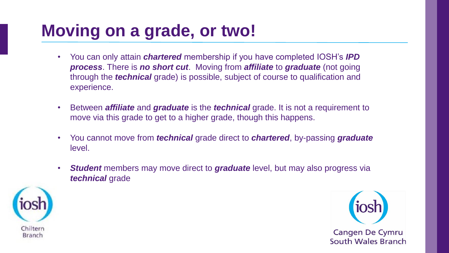# **Moving on a grade, or two!**

- You can only attain *chartered* membership if you have completed IOSH's *IPD process*. There is *no short cut*. Moving from *affiliate* to *graduate* (not going through the *technical* grade) is possible, subject of course to qualification and experience.
- Between *affiliate* and *graduate* is the *technical* grade. It is not a requirement to move via this grade to get to a higher grade, though this happens.
- You cannot move from *technical* grade direct to *chartered*, by-passing *graduate* level.
- *Student* members may move direct to *graduate* level, but may also progress via *technical* grade



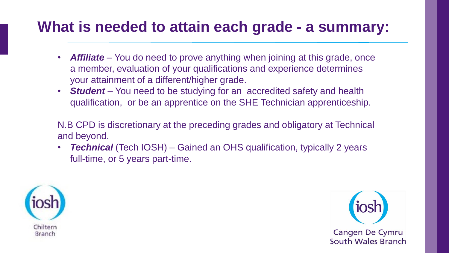#### **What is needed to attain each grade - a summary:**

- **Affiliate** You do need to prove anything when joining at this grade, once a member, evaluation of your qualifications and experience determines your attainment of a different/higher grade.
- *Student* You need to be studying for an accredited safety and health qualification, or be an apprentice on the SHE Technician apprenticeship.

N.B CPD is discretionary at the preceding grades and obligatory at Technical and beyond.

*Technical* (Tech IOSH) – Gained an OHS qualification, typically 2 years full-time, or 5 years part-time.



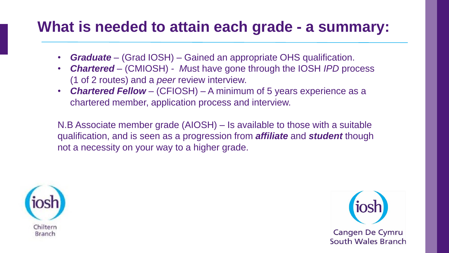#### **What is needed to attain each grade - a summary:**

- *Graduate –* (Grad IOSH) Gained an appropriate OHS qualification.
- *Chartered –* (CMIOSH) *- M*ust have gone through the IOSH *IPD* process (1 of 2 routes) and a *peer* review interview.
- *Chartered Fellow* (CFIOSH) A minimum of 5 years experience as a chartered member, application process and interview.

N.B Associate member grade (AIOSH) – Is available to those with a suitable qualification, and is seen as a progression from *affiliate* and *student* though not a necessity on your way to a higher grade.



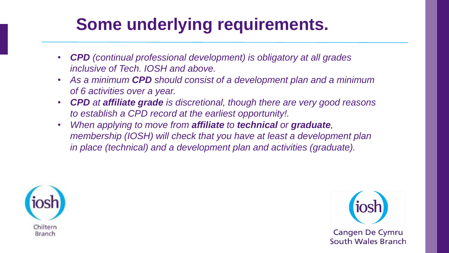# **Some underlying requirements.**

- *CPD (continual professional development) is obligatory at all grades inclusive of Tech. IOSH and above.*
- *As a minimum CPD should consist of a development plan and a minimum of 6 activities over a year.*
- *CPD at affiliate grade is discretional, though there are very good reasons to establish a CPD record at the earliest opportunity!.*
- *When applying to move from affiliate to technical or graduate, membership (IOSH) will check that you have at least a development plan in place (technical) and a development plan and activities (graduate).*



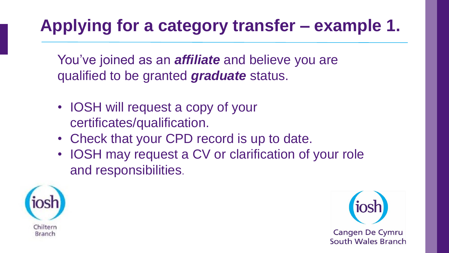# **Applying for a category transfer – example 1.**

You've joined as an *affiliate* and believe you are qualified to be granted *graduate* status.

- IOSH will request a copy of your certificates/qualification.
- Check that your CPD record is up to date.
- IOSH may request a CV or clarification of your role and responsibilities.



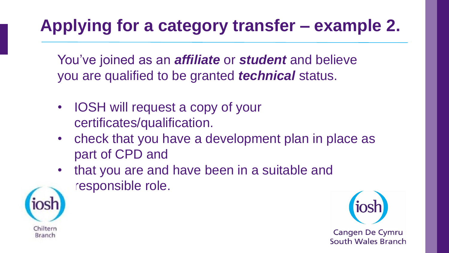# **Applying for a category transfer – example 2.**

You've joined as an *affiliate* or *student* and believe you are qualified to be granted *technical* status.

• **IOSH** will request a copy of your certificates/qualification.

Chilterr

Branch

- check that you have a development plan in place as part of CPD and
- that you are and have been in a suitable and responsible role.

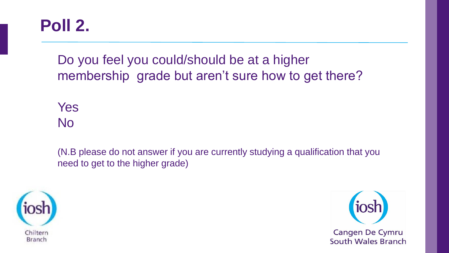### **Poll 2.**

Do you feel you could/should be at a higher membership grade but aren't sure how to get there?

Yes No

(N.B please do not answer if you are currently studying a qualification that you need to get to the higher grade)



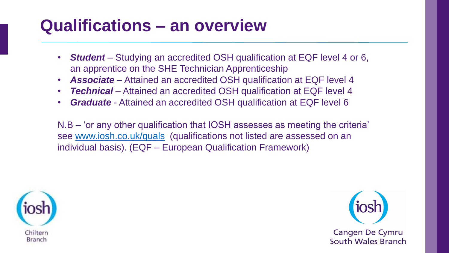# **Qualifications – an overview**

- *Student*  Studying an accredited OSH qualification at EQF level 4 or 6, an apprentice on the SHE Technician Apprenticeship
- *Associate* Attained an accredited OSH qualification at EQF level 4
- **Technical** Attained an accredited OSH qualification at EQF level 4
- *Graduate* Attained an accredited OSH qualification at EQF level 6

N.B – 'or any other qualification that IOSH assesses as meeting the criteria' see [www.iosh.co.uk/quals](http://www.iosh.co.uk/quals) (qualifications not listed are assessed on an individual basis). (EQF – European Qualification Framework)



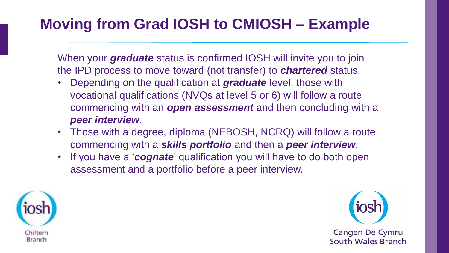## **Moving from Grad IOSH to CMIOSH – Example**

When your *graduate* status is confirmed IOSH will invite you to join the IPD process to move toward (not transfer) to *chartered* status.

- Depending on the qualification at *graduate* level, those with vocational qualifications (NVQs at level 5 or 6) will follow a route commencing with an *open assessment* and then concluding with a *peer interview*.
- Those with a degree, diploma (NEBOSH, NCRQ) will follow a route commencing with a *skills portfolio* and then a *peer interview*.
- If you have a '*cognate*' qualification you will have to do both open assessment and a portfolio before a peer interview.



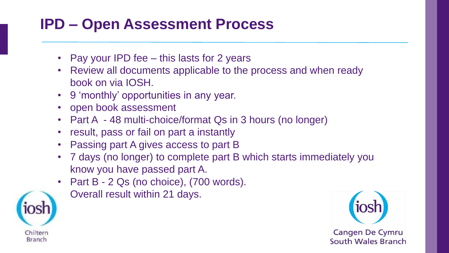### **IPD – Open Assessment Process**

- Pay your IPD fee this lasts for 2 years
- Review all documents applicable to the process and when ready book on via IOSH.
- 9 'monthly' opportunities in any year.
- open book assessment
- Part A 48 multi-choice/format Qs in 3 hours (no longer)
- result, pass or fail on part a instantly
- Passing part A gives access to part B
- 7 days (no longer) to complete part B which starts immediately you know you have passed part A.
- Part B 2 Qs (no choice), (700 words).



• Overall result within 21 days.

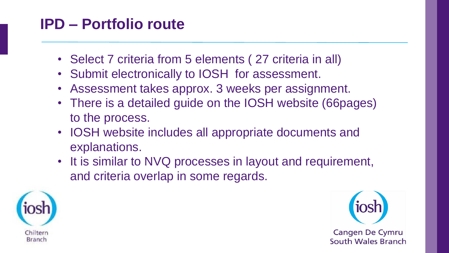### **IPD – Portfolio route**

- Select 7 criteria from 5 elements (27 criteria in all)
- Submit electronically to IOSH for assessment.
- Assessment takes approx. 3 weeks per assignment.
- There is a detailed guide on the IOSH website (66pages) to the process.
- IOSH website includes all appropriate documents and explanations.
- It is similar to NVQ processes in layout and requirement, and criteria overlap in some regards.



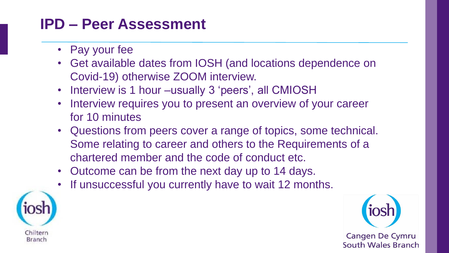#### **IPD – Peer Assessment**

- Pay your fee
- Get available dates from IOSH (and locations dependence on Covid-19) otherwise ZOOM interview.
- Interview is 1 hour –usually 3 'peers', all CMIOSH
- Interview requires you to present an overview of your career for 10 minutes
- Questions from peers cover a range of topics, some technical. Some relating to career and others to the Requirements of a chartered member and the code of conduct etc.
- Outcome can be from the next day up to 14 days.
- If unsuccessful you currently have to wait 12 months.



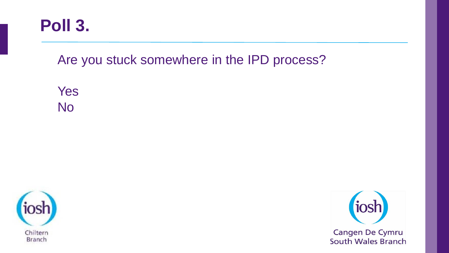

Are you stuck somewhere in the IPD process?

Yes No



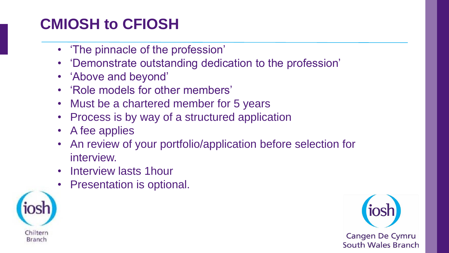## **CMIOSH to CFIOSH**

- 'The pinnacle of the profession'
- 'Demonstrate outstanding dedication to the profession'
- 'Above and beyond'
- 'Role models for other members'
- Must be a chartered member for 5 years
- Process is by way of a structured application
- A fee applies
- An review of your portfolio/application before selection for interview.
- Interview lasts 1hour
- Presentation is optional.



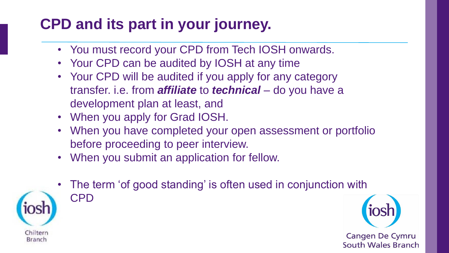### **CPD and its part in your journey.**

- You must record your CPD from Tech IOSH onwards.
- Your CPD can be audited by IOSH at any time
- Your CPD will be audited if you apply for any category transfer. i.e. from *affiliate* to *technical* – do you have a development plan at least, and
- When you apply for Grad IOSH.
- When you have completed your open assessment or portfolio before proceeding to peer interview.
- When you submit an application for fellow.



The term 'of good standing' is often used in conjunction with CPD

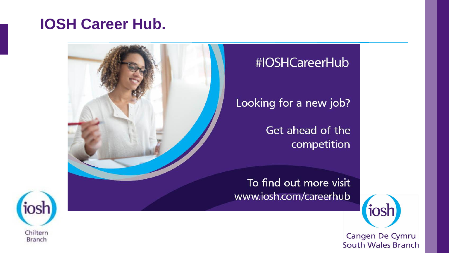#### **IOSH Career Hub.**

Chiltern

Branch



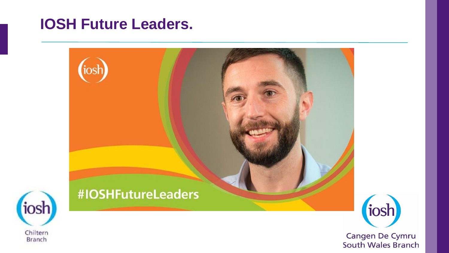#### **IOSH Future Leaders.**

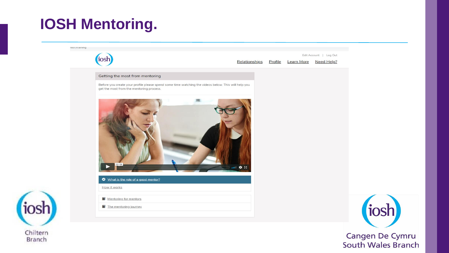### **IOSH Mentoring.**

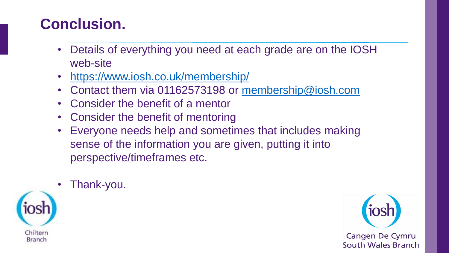### **Conclusion.**

• Thank-you.

- Details of everything you need at each grade are on the IOSH web-site
- <https://www.iosh.co.uk/membership/>
- Contact them via 01162573198 or [membership@iosh.com](mailto:membership@iosh.com)
- Consider the benefit of a mentor
- Consider the benefit of mentoring
- Everyone needs help and sometimes that includes making sense of the information you are given, putting it into perspective/timeframes etc.
- Chilterr Branch